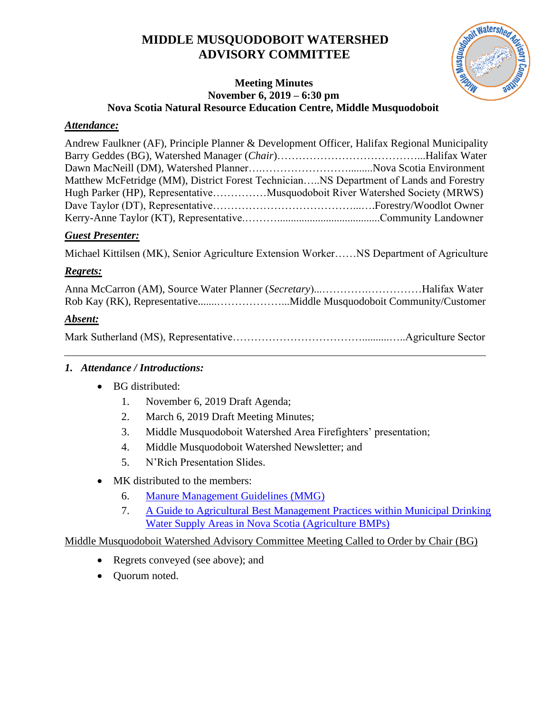# **MIDDLE MUSQUODOBOIT WATERSHED ADVISORY COMMITTEE**



#### **Meeting Minutes November 6, 2019 – 6:30 pm Nova Scotia Natural Resource Education Centre, Middle Musquodoboit**

#### *Attendance:*

| Andrew Faulkner (AF), Principle Planner & Development Officer, Halifax Regional Municipality |  |
|----------------------------------------------------------------------------------------------|--|
|                                                                                              |  |
|                                                                                              |  |
| Matthew McFetridge (MM), District Forest TechnicianNS Department of Lands and Forestry       |  |
| Hugh Parker (HP), RepresentativeMusquodoboit River Watershed Society (MRWS)                  |  |
|                                                                                              |  |
|                                                                                              |  |
|                                                                                              |  |

#### *Guest Presenter:*

Michael Kittilsen (MK), Senior Agriculture Extension Worker……NS Department of Agriculture

# *Regrets:*

Anna McCarron (AM), Source Water Planner (*Secretary*)...………….……………Halifax Water Rob Kay (RK), Representative.......………………...Middle Musquodoboit Community/Customer

# *Absent:*

|--|--|

# <span id="page-0-0"></span>*1. Attendance / Introductions:*

- BG distributed:
	- 1. November 6, 2019 Draft Agenda;
	- 2. March 6, 2019 Draft Meeting Minutes;
	- 3. Middle Musquodoboit Watershed Area Firefighters' presentation;
	- 4. Middle Musquodoboit Watershed Newsletter; and
	- 5. N'Rich Presentation Slides.
- <span id="page-0-3"></span><span id="page-0-1"></span>• MK distributed to the members:
	- 6. [Manure Management Guidelines](https://novascotia.ca/thinkfarm/documents/manureguide_2006lowres.pdf) (MMG)
	- 7. [A Guide to Agricultural Best Management Practices within Municipal Drinking](http://www.nsfa-fane.ca/efp/wp-content/uploads/2017/04/Watershed_WEB_Final_2017.pdf)  [Water Supply Areas in Nova Scotia](http://www.nsfa-fane.ca/efp/wp-content/uploads/2017/04/Watershed_WEB_Final_2017.pdf) (Agriculture BMPs)

# <span id="page-0-2"></span>Middle Musquodoboit Watershed Advisory Committee Meeting Called to Order by Chair (BG)

- Regrets conveyed (see above); and
- Quorum noted.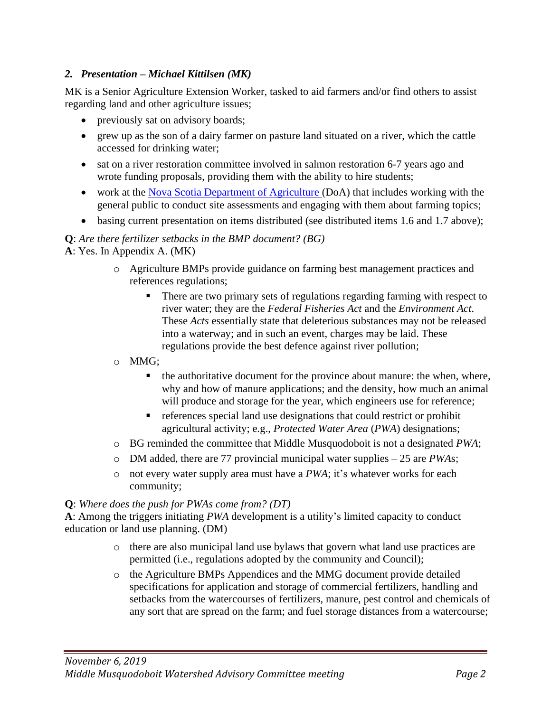# <span id="page-1-0"></span>*2. Presentation – Michael Kittilsen (MK)*

MK is a Senior Agriculture Extension Worker, tasked to aid farmers and/or find others to assist regarding land and other agriculture issues;

- previously sat on advisory boards;
- grew up as the son of a dairy farmer on pasture land situated on a river, which the cattle accessed for drinking water;
- sat on a river restoration committee involved in salmon restoration 6-7 years ago and wrote funding proposals, providing them with the ability to hire students;
- work at the [Nova Scotia Department of Agriculture \(](https://novascotia.ca/agri/)DoA) that includes working with the general public to conduct site assessments and engaging with them about farming topics;
- basing current presentation on items distributed (see distributed items [1](#page-0-0)[.6](#page-0-1) and [1.](#page-0-0)[7](#page-0-2) above);

# **Q**: *Are there fertilizer setbacks in the BMP document? (BG)*

**A**: Yes. In Appendix A. (MK)

- o Agriculture BMPs provide guidance on farming best management practices and references regulations;
	- There are two primary sets of regulations regarding farming with respect to river water; they are the *Federal Fisheries Act* and the *Environment Act*. These *Acts* essentially state that deleterious substances may not be released into a waterway; and in such an event, charges may be laid. These regulations provide the best defence against river pollution;
- o MMG;
	- the authoritative document for the province about manure: the when, where, why and how of manure applications; and the density, how much an animal will produce and storage for the year, which engineers use for reference;
	- references special land use designations that could restrict or prohibit agricultural activity; e.g., *Protected Water Area* (*PWA*) designations;
- o BG reminded the committee that Middle Musquodoboit is not a designated *PWA*;
- o DM added, there are 77 provincial municipal water supplies 25 are *PWA*s;
- o not every water supply area must have a *PWA*; it's whatever works for each community;

#### **Q**: *Where does the push for PWAs come from? (DT)*

**A**: Among the triggers initiating *PWA* development is a utility's limited capacity to conduct education or land use planning. (DM)

- o there are also municipal land use bylaws that govern what land use practices are permitted (i.e., regulations adopted by the community and Council);
- o the Agriculture BMPs Appendices and the MMG document provide detailed specifications for application and storage of commercial fertilizers, handling and setbacks from the watercourses of fertilizers, manure, pest control and chemicals of any sort that are spread on the farm; and fuel storage distances from a watercourse;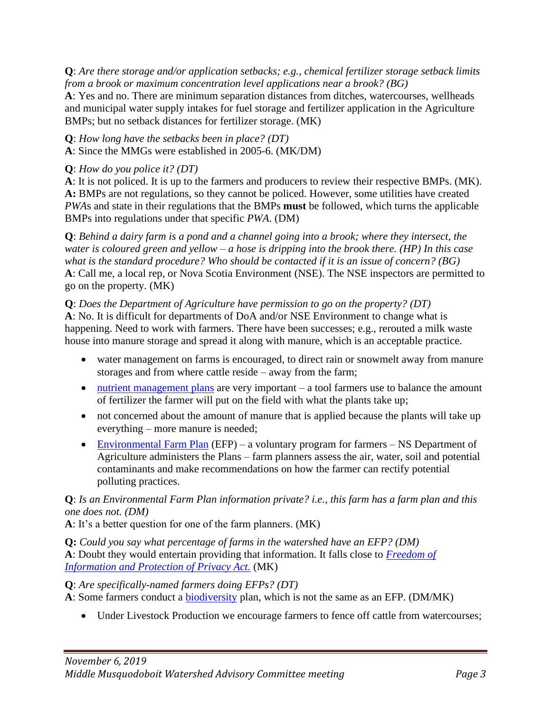**Q**: *Are there storage and/or application setbacks; e.g., chemical fertilizer storage setback limits from a brook or maximum concentration level applications near a brook? (BG)*

**A**: Yes and no. There are minimum separation distances from ditches, watercourses, wellheads and municipal water supply intakes for fuel storage and fertilizer application in the Agriculture BMPs; but no setback distances for fertilizer storage. (MK)

**Q**: *How long have the setbacks been in place? (DT)*

**A**: Since the MMGs were established in 2005-6. (MK/DM)

# **Q**: *How do you police it? (DT)*

**A**: It is not policed. It is up to the farmers and producers to review their respective BMPs. (MK). **A:** BMPs are not regulations, so they cannot be policed. However, some utilities have created *PWA*s and state in their regulations that the BMPs **must** be followed, which turns the applicable BMPs into regulations under that specific *PWA*. (DM)

**Q**: *Behind a dairy farm is a pond and a channel going into a brook; where they intersect, the water is coloured green and yellow – a hose is dripping into the brook there. (HP) In this case what is the standard procedure? Who should be contacted if it is an issue of concern? (BG)* **A**: Call me, a local rep, or Nova Scotia Environment (NSE). The NSE inspectors are permitted to go on the property. (MK)

# **Q**: *Does the Department of Agriculture have permission to go on the property? (DT)*

**A**: No. It is difficult for departments of DoA and/or NSE Environment to change what is happening. Need to work with farmers. There have been successes; e.g., rerouted a milk waste house into manure storage and spread it along with manure, which is an acceptable practice.

- water management on farms is encouraged, to direct rain or snowmelt away from manure storages and from where cattle reside – away from the farm;
- [nutrient management plans](http://www.nsfa-fane.ca/efp/wp-content/uploads/2019/09/2018NutrientManagementPlans.pdf) are very important a tool farmers use to balance the amount of fertilizer the farmer will put on the field with what the plants take up;
- not concerned about the amount of manure that is applied because the plants will take up everything – more manure is needed;
- [Environmental Farm Plan](http://www.nsfa-fane.ca/efp/) (EFP) a voluntary program for farmers NS Department of Agriculture administers the Plans – farm planners assess the air, water, soil and potential contaminants and make recommendations on how the farmer can rectify potential polluting practices.

# **Q**: *Is an Environmental Farm Plan information private? i.e., this farm has a farm plan and this one does not. (DM)*

**A**: It's a better question for one of the farm planners. (MK)

**Q:** *Could you say what percentage of farms in the watershed have an EFP? (DM)* **A**: Doubt they would entertain providing that information. It falls close to *[Freedom of](https://nslegislature.ca/sites/default/files/legc/statutes/freedom%20of%20information%20and%20protection%20of%20privacy.pdf)  [Information and Protection of Privacy Act.](https://nslegislature.ca/sites/default/files/legc/statutes/freedom%20of%20information%20and%20protection%20of%20privacy.pdf)* (MK)

#### **Q**: *Are specifically-named farmers doing EFPs? (DT)*

A: Some farmers conduct a **biodiversity** plan, which is not the same as an EFP. (DM/MK)

• Under Livestock Production we encourage farmers to fence off cattle from watercourses;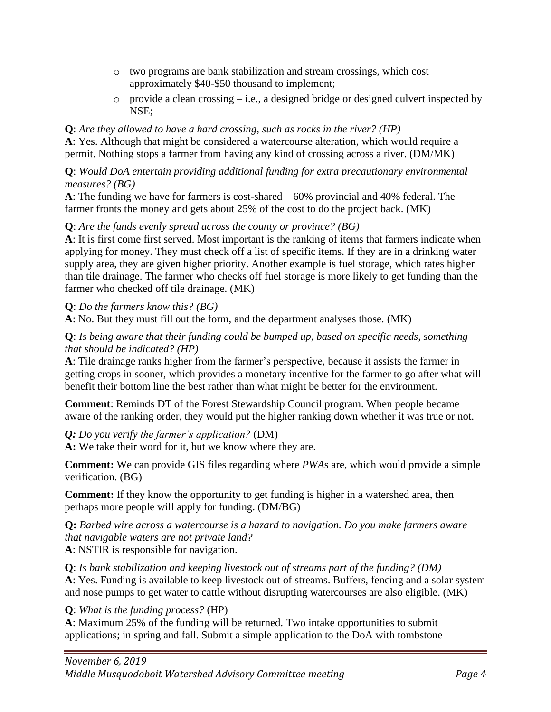- o two programs are bank stabilization and stream crossings, which cost approximately \$40-\$50 thousand to implement;
- o provide a clean crossing i.e., a designed bridge or designed culvert inspected by NSE;

# **Q**: *Are they allowed to have a hard crossing, such as rocks in the river? (HP)*

**A**: Yes. Although that might be considered a watercourse alteration, which would require a permit. Nothing stops a farmer from having any kind of crossing across a river. (DM/MK)

**Q**: *Would DoA entertain providing additional funding for extra precautionary environmental measures? (BG)*

**A**: The funding we have for farmers is cost-shared – 60% provincial and 40% federal. The farmer fronts the money and gets about 25% of the cost to do the project back. (MK)

# **Q**: *Are the funds evenly spread across the county or province? (BG)*

**A**: It is first come first served. Most important is the ranking of items that farmers indicate when applying for money. They must check off a list of specific items. If they are in a drinking water supply area, they are given higher priority. Another example is fuel storage, which rates higher than tile drainage. The farmer who checks off fuel storage is more likely to get funding than the farmer who checked off tile drainage. (MK)

**Q**: *Do the farmers know this? (BG)*

**A**: No. But they must fill out the form, and the department analyses those. (MK)

#### **Q**: *Is being aware that their funding could be bumped up, based on specific needs, something that should be indicated? (HP)*

**A**: Tile drainage ranks higher from the farmer's perspective, because it assists the farmer in getting crops in sooner, which provides a monetary incentive for the farmer to go after what will benefit their bottom line the best rather than what might be better for the environment.

**Comment**: Reminds DT of the Forest Stewardship Council program. When people became aware of the ranking order, they would put the higher ranking down whether it was true or not.

*Q: Do you verify the farmer's application?* (DM)

**A:** We take their word for it, but we know where they are.

**Comment:** We can provide GIS files regarding where *PWA*s are, which would provide a simple verification. (BG)

**Comment:** If they know the opportunity to get funding is higher in a watershed area, then perhaps more people will apply for funding. (DM/BG)

**Q:** *Barbed wire across a watercourse is a hazard to navigation. Do you make farmers aware that navigable waters are not private land?* **A**: NSTIR is responsible for navigation.

**Q**: *Is bank stabilization and keeping livestock out of streams part of the funding? (DM)*

**A**: Yes. Funding is available to keep livestock out of streams. Buffers, fencing and a solar system and nose pumps to get water to cattle without disrupting watercourses are also eligible. (MK)

**Q**: *What is the funding process?* (HP)

**A**: Maximum 25% of the funding will be returned. Two intake opportunities to submit applications; in spring and fall. Submit a simple application to the DoA with tombstone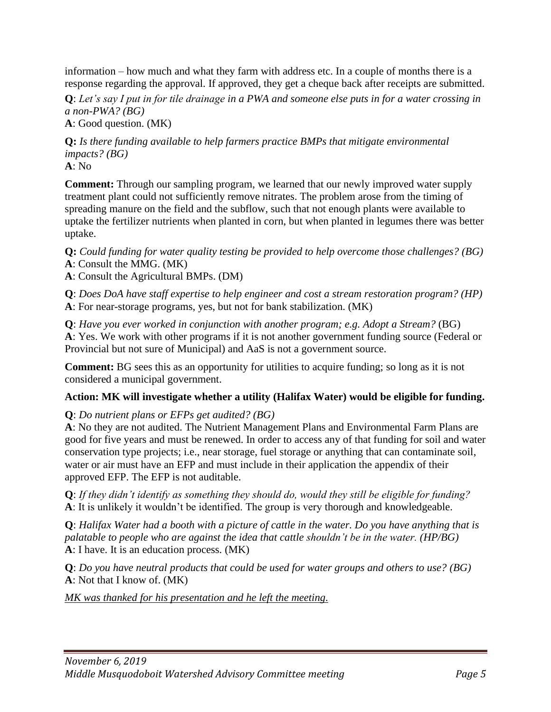information – how much and what they farm with address etc. In a couple of months there is a response regarding the approval. If approved, they get a cheque back after receipts are submitted.

**Q**: *Let's say I put in for tile drainage in a PWA and someone else puts in for a water crossing in a non-PWA? (BG)*

**A**: Good question. (MK)

**Q:** *Is there funding available to help farmers practice BMPs that mitigate environmental impacts? (BG)*

**A**: No

**Comment:** Through our sampling program, we learned that our newly improved water supply treatment plant could not sufficiently remove nitrates. The problem arose from the timing of spreading manure on the field and the subflow, such that not enough plants were available to uptake the fertilizer nutrients when planted in corn, but when planted in legumes there was better uptake.

**Q:** *Could funding for water quality testing be provided to help overcome those challenges? (BG)* **A**: Consult the MMG. (MK)

**A**: Consult the Agricultural BMPs. (DM)

**Q**: *Does DoA have staff expertise to help engineer and cost a stream restoration program? (HP)* **A**: For near-storage programs, yes, but not for bank stabilization. (MK)

**Q**: *Have you ever worked in conjunction with another program; e.g. Adopt a Stream?* (BG) **A**: Yes. We work with other programs if it is not another government funding source (Federal or Provincial but not sure of Municipal) and AaS is not a government source.

**Comment:** BG sees this as an opportunity for utilities to acquire funding; so long as it is not considered a municipal government.

# **Action: MK will investigate whether a utility (Halifax Water) would be eligible for funding.**

#### **Q**: *Do nutrient plans or EFPs get audited? (BG)*

**A**: No they are not audited. The Nutrient Management Plans and Environmental Farm Plans are good for five years and must be renewed. In order to access any of that funding for soil and water conservation type projects; i.e., near storage, fuel storage or anything that can contaminate soil, water or air must have an EFP and must include in their application the appendix of their approved EFP. The EFP is not auditable.

**Q**: *If they didn't identify as something they should do, would they still be eligible for funding?* **A**: It is unlikely it wouldn't be identified. The group is very thorough and knowledgeable.

**Q**: *Halifax Water had a booth with a picture of cattle in the water. Do you have anything that is palatable to people who are against the idea that cattle shouldn't be in the water. (HP/BG)* **A**: I have. It is an education process. (MK)

**Q**: *Do you have neutral products that could be used for water groups and others to use? (BG)* **A**: Not that I know of. (MK)

*MK was thanked for his presentation and he left the meeting.*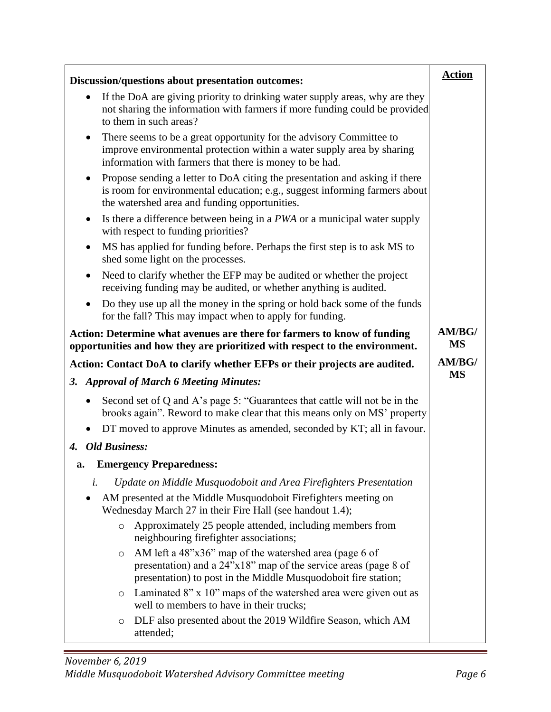| Discussion/questions about presentation outcomes:                                                                                                                                                               | <b>Action</b>       |
|-----------------------------------------------------------------------------------------------------------------------------------------------------------------------------------------------------------------|---------------------|
| If the DoA are giving priority to drinking water supply areas, why are they<br>$\bullet$<br>not sharing the information with farmers if more funding could be provided<br>to them in such areas?                |                     |
| There seems to be a great opportunity for the advisory Committee to<br>٠<br>improve environmental protection within a water supply area by sharing<br>information with farmers that there is money to be had.   |                     |
| Propose sending a letter to DoA citing the presentation and asking if there<br>٠<br>is room for environmental education; e.g., suggest informing farmers about<br>the watershed area and funding opportunities. |                     |
| Is there a difference between being in a PWA or a municipal water supply<br>٠<br>with respect to funding priorities?                                                                                            |                     |
| MS has applied for funding before. Perhaps the first step is to ask MS to<br>$\bullet$<br>shed some light on the processes.                                                                                     |                     |
| Need to clarify whether the EFP may be audited or whether the project<br>٠<br>receiving funding may be audited, or whether anything is audited.                                                                 |                     |
| Do they use up all the money in the spring or hold back some of the funds<br>for the fall? This may impact when to apply for funding.                                                                           |                     |
| Action: Determine what avenues are there for farmers to know of funding<br>opportunities and how they are prioritized with respect to the environment.                                                          | AM/BG/<br><b>MS</b> |
| Action: Contact DoA to clarify whether EFPs or their projects are audited.                                                                                                                                      | AM/BG/              |
| 3. Approval of March 6 Meeting Minutes:                                                                                                                                                                         | <b>MS</b>           |
| Second set of Q and A's page 5: "Guarantees that cattle will not be in the<br>$\bullet$                                                                                                                         |                     |
| brooks again". Reword to make clear that this means only on MS' property                                                                                                                                        |                     |
| DT moved to approve Minutes as amended, seconded by KT; all in favour.                                                                                                                                          |                     |
| <b>Old Business:</b><br>4.                                                                                                                                                                                      |                     |
| <b>Emergency Preparedness:</b><br>a.                                                                                                                                                                            |                     |
| Update on Middle Musquodoboit and Area Firefighters Presentation<br>i.                                                                                                                                          |                     |
| AM presented at the Middle Musquodoboit Firefighters meeting on<br>Wednesday March 27 in their Fire Hall (see handout 1.4);                                                                                     |                     |
| Approximately 25 people attended, including members from<br>$\circ$<br>neighbouring firefighter associations;                                                                                                   |                     |
| AM left a 48"x36" map of the watershed area (page 6 of<br>$\circ$<br>presentation) and a 24"x18" map of the service areas (page 8 of<br>presentation) to post in the Middle Musquodoboit fire station;          |                     |
| Laminated 8" x 10" maps of the watershed area were given out as<br>$\circ$<br>well to members to have in their trucks;                                                                                          |                     |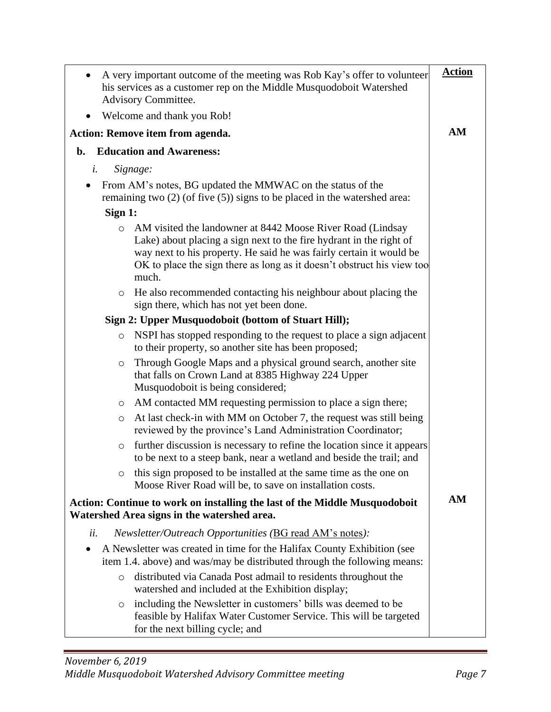| A very important outcome of the meeting was Rob Kay's offer to volunteer<br>his services as a customer rep on the Middle Musquodoboit Watershed<br>Advisory Committee.                                                                                                                                 | <b>Action</b> |
|--------------------------------------------------------------------------------------------------------------------------------------------------------------------------------------------------------------------------------------------------------------------------------------------------------|---------------|
| Welcome and thank you Rob!                                                                                                                                                                                                                                                                             |               |
| <b>Action: Remove item from agenda.</b>                                                                                                                                                                                                                                                                | AM            |
| <b>Education and Awareness:</b><br>b.                                                                                                                                                                                                                                                                  |               |
| Signage:<br>i.                                                                                                                                                                                                                                                                                         |               |
| From AM's notes, BG updated the MMWAC on the status of the<br>$\bullet$<br>remaining two $(2)$ (of five $(5)$ ) signs to be placed in the watershed area:                                                                                                                                              |               |
| Sign 1:                                                                                                                                                                                                                                                                                                |               |
| AM visited the landowner at 8442 Moose River Road (Lindsay<br>$\circ$<br>Lake) about placing a sign next to the fire hydrant in the right of<br>way next to his property. He said he was fairly certain it would be<br>OK to place the sign there as long as it doesn't obstruct his view too<br>much. |               |
| o He also recommended contacting his neighbour about placing the<br>sign there, which has not yet been done.                                                                                                                                                                                           |               |
| Sign 2: Upper Musquodoboit (bottom of Stuart Hill);                                                                                                                                                                                                                                                    |               |
| NSPI has stopped responding to the request to place a sign adjacent<br>$\circ$<br>to their property, so another site has been proposed;                                                                                                                                                                |               |
| Through Google Maps and a physical ground search, another site<br>$\circ$<br>that falls on Crown Land at 8385 Highway 224 Upper<br>Musquodoboit is being considered;                                                                                                                                   |               |
| AM contacted MM requesting permission to place a sign there;<br>$\circ$                                                                                                                                                                                                                                |               |
| At last check-in with MM on October 7, the request was still being<br>$\circ$<br>reviewed by the province's Land Administration Coordinator;                                                                                                                                                           |               |
| further discussion is necessary to refine the location since it appears<br>$\circ$<br>to be next to a steep bank, near a wetland and beside the trail; and                                                                                                                                             |               |
| this sign proposed to be installed at the same time as the one on<br>Moose River Road will be, to save on installation costs.                                                                                                                                                                          |               |
| Action: Continue to work on installing the last of the Middle Musquodoboit<br>Watershed Area signs in the watershed area.                                                                                                                                                                              | AM            |
| Newsletter/Outreach Opportunities (BG read AM's notes):<br>ii.                                                                                                                                                                                                                                         |               |
| A Newsletter was created in time for the Halifax County Exhibition (see<br>$\bullet$<br>item 1.4. above) and was/may be distributed through the following means:                                                                                                                                       |               |
| distributed via Canada Post admail to residents throughout the<br>$\circ$<br>watershed and included at the Exhibition display;                                                                                                                                                                         |               |
| including the Newsletter in customers' bills was deemed to be<br>$\circ$<br>feasible by Halifax Water Customer Service. This will be targeted<br>for the next billing cycle; and                                                                                                                       |               |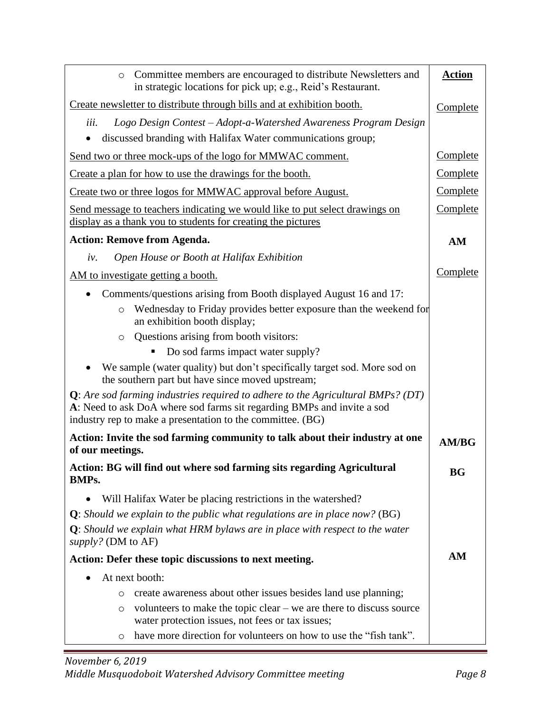| Committee members are encouraged to distribute Newsletters and<br>$\circ$<br>in strategic locations for pick up; e.g., Reid's Restaurant.                                                                                  | <b>Action</b>   |
|----------------------------------------------------------------------------------------------------------------------------------------------------------------------------------------------------------------------------|-----------------|
| Create newsletter to distribute through bills and at exhibition booth.                                                                                                                                                     | Complete        |
| Logo Design Contest - Adopt-a-Watershed Awareness Program Design<br>iii.                                                                                                                                                   |                 |
| discussed branding with Halifax Water communications group;                                                                                                                                                                |                 |
| Send two or three mock-ups of the logo for MMWAC comment.                                                                                                                                                                  | <b>Complete</b> |
| Create a plan for how to use the drawings for the booth.                                                                                                                                                                   | <b>Complete</b> |
| Create two or three logos for MMWAC approval before August.                                                                                                                                                                | Complete        |
| Send message to teachers indicating we would like to put select drawings on<br>display as a thank you to students for creating the pictures                                                                                | Complete        |
| <b>Action: Remove from Agenda.</b>                                                                                                                                                                                         | AM              |
| Open House or Booth at Halifax Exhibition<br>iv.                                                                                                                                                                           |                 |
| AM to investigate getting a booth.                                                                                                                                                                                         | Complete        |
| Comments/questions arising from Booth displayed August 16 and 17:                                                                                                                                                          |                 |
| Wednesday to Friday provides better exposure than the weekend for<br>$\circ$<br>an exhibition booth display;                                                                                                               |                 |
| Questions arising from booth visitors:<br>$\circ$                                                                                                                                                                          |                 |
| Do sod farms impact water supply?                                                                                                                                                                                          |                 |
| We sample (water quality) but don't specifically target sod. More sod on<br>the southern part but have since moved upstream;                                                                                               |                 |
| $Q$ : Are sod farming industries required to adhere to the Agricultural BMPs? (DT)<br>A: Need to ask DoA where sod farms sit regarding BMPs and invite a sod<br>industry rep to make a presentation to the committee. (BG) |                 |
| Action: Invite the sod farming community to talk about their industry at one<br>of our meetings.                                                                                                                           | <b>AM/BG</b>    |
| Action: BG will find out where sod farming sits regarding Agricultural<br>BMP <sub>s</sub> .                                                                                                                               | <b>BG</b>       |
| Will Halifax Water be placing restrictions in the watershed?                                                                                                                                                               |                 |
| <b>Q</b> : Should we explain to the public what regulations are in place now? (BG)                                                                                                                                         |                 |
| $Q$ : Should we explain what HRM bylaws are in place with respect to the water<br><i>supply?</i> (DM to AF)                                                                                                                |                 |
| Action: Defer these topic discussions to next meeting.                                                                                                                                                                     | AM              |
| At next booth:                                                                                                                                                                                                             |                 |
| create awareness about other issues besides land use planning;<br>O                                                                                                                                                        |                 |
| volunteers to make the topic clear $-$ we are there to discuss source<br>$\circ$<br>water protection issues, not fees or tax issues;                                                                                       |                 |
| have more direction for volunteers on how to use the "fish tank".<br>$\circ$                                                                                                                                               |                 |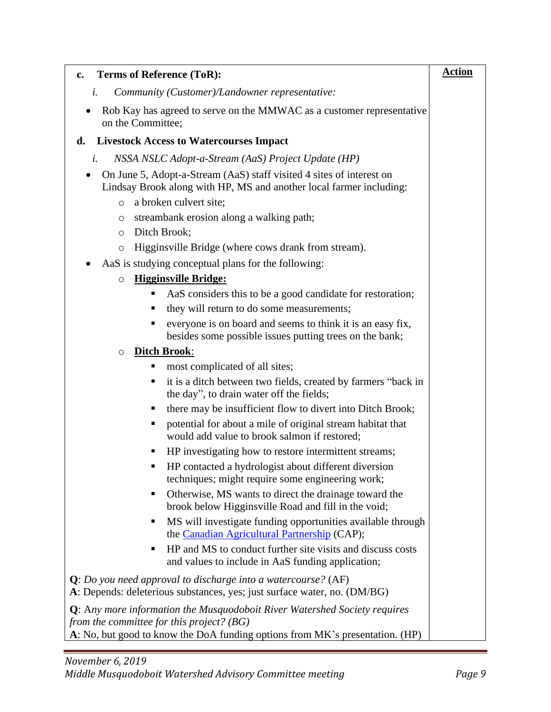| <b>Terms of Reference (ToR):</b><br>c.                                                                                                                                                                         | <b>Action</b> |
|----------------------------------------------------------------------------------------------------------------------------------------------------------------------------------------------------------------|---------------|
| i.<br>Community (Customer)/Landowner representative:                                                                                                                                                           |               |
| Rob Kay has agreed to serve on the MMWAC as a customer representative<br>on the Committee;                                                                                                                     |               |
| <b>Livestock Access to Watercourses Impact</b><br>d.                                                                                                                                                           |               |
| NSSA NSLC Adopt-a-Stream (AaS) Project Update (HP)<br>i.                                                                                                                                                       |               |
| On June 5, Adopt-a-Stream (AaS) staff visited 4 sites of interest on<br>Lindsay Brook along with HP, MS and another local farmer including:                                                                    |               |
| a broken culvert site;<br>$\circ$                                                                                                                                                                              |               |
| streambank erosion along a walking path;<br>O                                                                                                                                                                  |               |
| Ditch Brook;<br>$\circ$                                                                                                                                                                                        |               |
| Higginsville Bridge (where cows drank from stream).<br>O                                                                                                                                                       |               |
| AaS is studying conceptual plans for the following:                                                                                                                                                            |               |
| <b>Higginsville Bridge:</b><br>$\circ$                                                                                                                                                                         |               |
| AaS considers this to be a good candidate for restoration;<br>٠                                                                                                                                                |               |
| they will return to do some measurements;<br>ш                                                                                                                                                                 |               |
| everyone is on board and seems to think it is an easy fix,<br>٠                                                                                                                                                |               |
| besides some possible issues putting trees on the bank;                                                                                                                                                        |               |
| <b>Ditch Brook:</b><br>$\circ$                                                                                                                                                                                 |               |
| most complicated of all sites;<br>п                                                                                                                                                                            |               |
| it is a ditch between two fields, created by farmers "back in<br>Е<br>the day", to drain water off the fields;                                                                                                 |               |
| there may be insufficient flow to divert into Ditch Brook;<br>п                                                                                                                                                |               |
| potential for about a mile of original stream habitat that<br>п<br>would add value to brook salmon if restored;                                                                                                |               |
| HP investigating how to restore intermittent streams;<br>п                                                                                                                                                     |               |
| HP contacted a hydrologist about different diversion<br>techniques; might require some engineering work;                                                                                                       |               |
| Otherwise, MS wants to direct the drainage toward the<br>П<br>brook below Higginsville Road and fill in the void;                                                                                              |               |
| MS will investigate funding opportunities available through<br>Е<br>the Canadian Agricultural Partnership (CAP);                                                                                               |               |
| HP and MS to conduct further site visits and discuss costs<br>П<br>and values to include in AaS funding application;                                                                                           |               |
| $Q: Do$ you need approval to discharge into a watercourse? (AF)<br>A: Depends: deleterious substances, yes; just surface water, no. (DM/BG)                                                                    |               |
| <b>Q</b> : Any more information the Musquodoboit River Watershed Society requires<br>from the committee for this project? (BG)<br>A: No, but good to know the DoA funding options from MK's presentation. (HP) |               |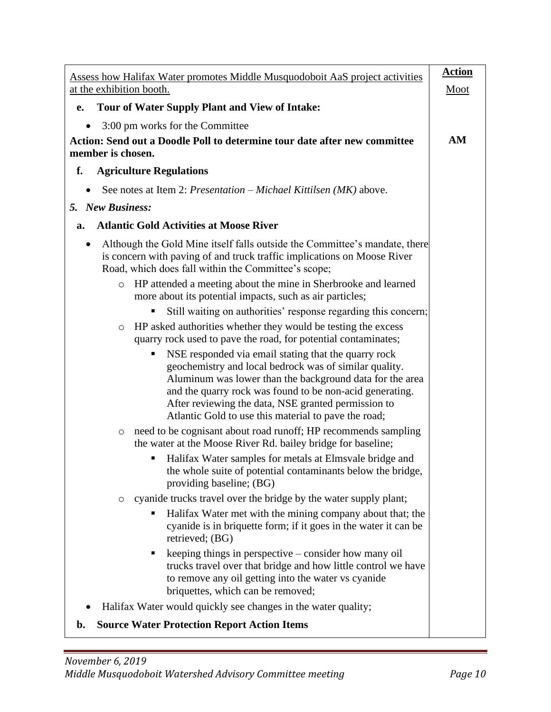| Assess how Halifax Water promotes Middle Musquodoboit AaS project activities                                                                                                                                                                                                                                                                          | <b>Action</b> |
|-------------------------------------------------------------------------------------------------------------------------------------------------------------------------------------------------------------------------------------------------------------------------------------------------------------------------------------------------------|---------------|
| at the exhibition booth.                                                                                                                                                                                                                                                                                                                              | Moot          |
| Tour of Water Supply Plant and View of Intake:<br>e.                                                                                                                                                                                                                                                                                                  |               |
| 3:00 pm works for the Committee                                                                                                                                                                                                                                                                                                                       |               |
| Action: Send out a Doodle Poll to determine tour date after new committee<br>member is chosen.                                                                                                                                                                                                                                                        | AM            |
| <b>Agriculture Regulations</b><br>f.                                                                                                                                                                                                                                                                                                                  |               |
| See notes at Item 2: <i>Presentation – Michael Kittilsen</i> $(MK)$ above.                                                                                                                                                                                                                                                                            |               |
| 5. New Business:                                                                                                                                                                                                                                                                                                                                      |               |
| <b>Atlantic Gold Activities at Moose River</b><br>a.                                                                                                                                                                                                                                                                                                  |               |
| Although the Gold Mine itself falls outside the Committee's mandate, there<br>٠<br>is concern with paving of and truck traffic implications on Moose River<br>Road, which does fall within the Committee's scope;                                                                                                                                     |               |
| HP attended a meeting about the mine in Sherbrooke and learned<br>$\circ$<br>more about its potential impacts, such as air particles;                                                                                                                                                                                                                 |               |
| Still waiting on authorities' response regarding this concern;                                                                                                                                                                                                                                                                                        |               |
| HP asked authorities whether they would be testing the excess<br>$\circ$<br>quarry rock used to pave the road, for potential contaminates;                                                                                                                                                                                                            |               |
| NSE responded via email stating that the quarry rock<br>geochemistry and local bedrock was of similar quality.<br>Aluminum was lower than the background data for the area<br>and the quarry rock was found to be non-acid generating.<br>After reviewing the data, NSE granted permission to<br>Atlantic Gold to use this material to pave the road; |               |
| need to be cognisant about road runoff; HP recommends sampling<br>$\circ$<br>the water at the Moose River Rd. bailey bridge for baseline;                                                                                                                                                                                                             |               |
| Halifax Water samples for metals at Elmsvale bridge and<br>the whole suite of potential contaminants below the bridge,<br>providing baseline; (BG)                                                                                                                                                                                                    |               |
| cyanide trucks travel over the bridge by the water supply plant;<br>$\circ$                                                                                                                                                                                                                                                                           |               |
| Halifax Water met with the mining company about that; the<br>cyanide is in briquette form; if it goes in the water it can be<br>retrieved; (BG)                                                                                                                                                                                                       |               |
| keeping things in perspective – consider how many oil<br>ш<br>trucks travel over that bridge and how little control we have<br>to remove any oil getting into the water vs cyanide<br>briquettes, which can be removed;                                                                                                                               |               |
| Halifax Water would quickly see changes in the water quality;                                                                                                                                                                                                                                                                                         |               |
| <b>Source Water Protection Report Action Items</b><br>b.                                                                                                                                                                                                                                                                                              |               |